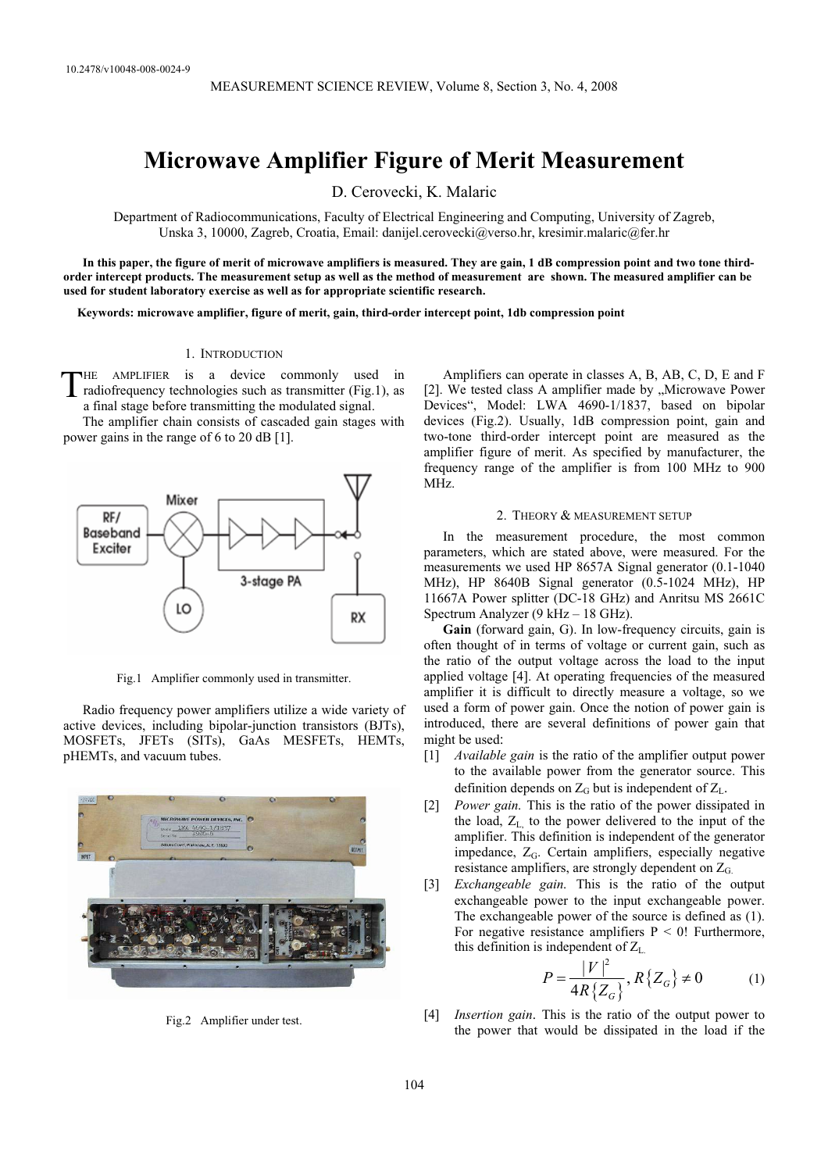# **Microwave Amplifier Figure of Merit Measurement**

D. Cerovecki, K. Malaric

Department of Radiocommunications, Faculty of Electrical Engineering and Computing, University of Zagreb, Unska 3, 10000, Zagreb, Croatia, Email: danijel.cerovecki@verso.hr, kresimir.malaric@fer.hr

**In this paper, the figure of merit of microwave amplifiers is measured. They are gain, 1 dB compression point and two tone thirdorder intercept products. The measurement setup as well as the method of measurement are shown. The measured amplifier can be used for student laboratory exercise as well as for appropriate scientific research.** 

**Keywords: microwave amplifier, figure of merit, gain, third-order intercept point, 1db compression point** 

#### 1. INTRODUCTION

HE AMPLIFIER is a device commonly used in radiofrequency technologies such as transmitter (Fig.1), as a final stage before transmitting the modulated signal. T

The amplifier chain consists of cascaded gain stages with power gains in the range of 6 to 20 dB [1].



Fig.1 Amplifier commonly used in transmitter.

Radio frequency power amplifiers utilize a wide variety of active devices, including bipolar-junction transistors (BJTs), MOSFETs, JFETs (SITs), GaAs MESFETs, HEMTs, pHEMTs, and vacuum tubes.



Fig.2 Amplifier under test.

Amplifiers can operate in classes A, B, AB, C, D, E and F [2]. We tested class A amplifier made by "Microwave Power Devices", Model: LWA 4690-1/1837, based on bipolar devices (Fig.2). Usually, 1dB compression point, gain and two-tone third-order intercept point are measured as the amplifier figure of merit. As specified by manufacturer, the frequency range of the amplifier is from 100 MHz to 900 MHz.

## 2. THEORY & MEASUREMENT SETUP

In the measurement procedure, the most common parameters, which are stated above, were measured. For the measurements we used HP 8657A Signal generator (0.1-1040 MHz), HP 8640B Signal generator (0.5-1024 MHz), HP 11667A Power splitter (DC-18 GHz) and Anritsu MS 2661C Spectrum Analyzer (9 kHz – 18 GHz).

**Gain** (forward gain, G). In low-frequency circuits, gain is often thought of in terms of voltage or current gain, such as the ratio of the output voltage across the load to the input applied voltage [4]. At operating frequencies of the measured amplifier it is difficult to directly measure a voltage, so we used a form of power gain. Once the notion of power gain is introduced, there are several definitions of power gain that might be used:

- [1] *Available gain* is the ratio of the amplifier output power to the available power from the generator source. This definition depends on  $Z_G$  but is independent of  $Z_L$ .
- [2] *Power gain.* This is the ratio of the power dissipated in the load,  $Z_L$  to the power delivered to the input of the amplifier. This definition is independent of the generator impedance, Z<sub>G</sub>. Certain amplifiers, especially negative resistance amplifiers, are strongly dependent on ZG.
- [3] *Exchangeable gain.* This is the ratio of the output exchangeable power to the input exchangeable power. The exchangeable power of the source is defined as (1). For negative resistance amplifiers  $P < 0$ ! Furthermore, this definition is independent of  $Z_L$ .

$$
P = \frac{|V|^2}{4R\{Z_G\}}, R\{Z_G\} \neq 0
$$
 (1)

[4] *Insertion gain*. This is the ratio of the output power to the power that would be dissipated in the load if the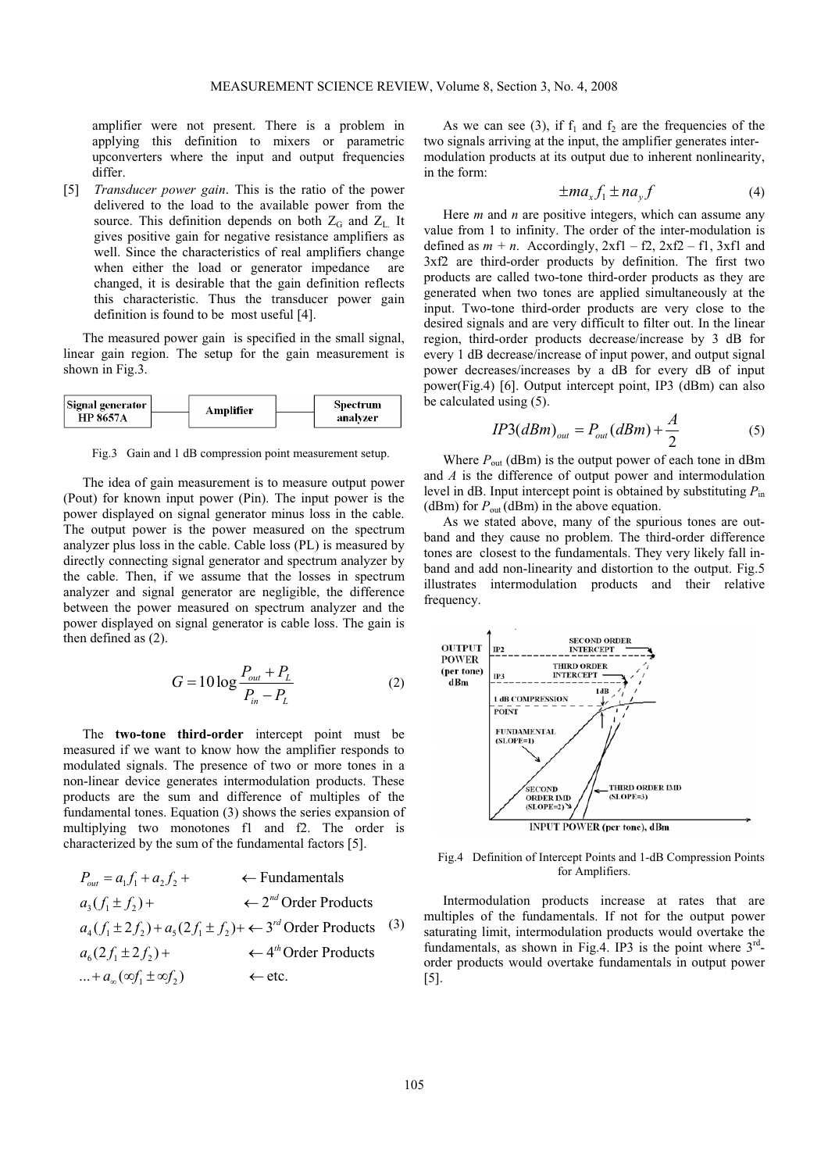amplifier were not present. There is a problem in applying this definition to mixers or parametric upconverters where the input and output frequencies differ.

[5] *Transducer power gain*. This is the ratio of the power delivered to the load to the available power from the source. This definition depends on both  $Z_G$  and  $Z_L$ . It gives positive gain for negative resistance amplifiers as well. Since the characteristics of real amplifiers change when either the load or generator impedance are changed, it is desirable that the gain definition reflects this characteristic. Thus the transducer power gain definition is found to be most useful [4].

The measured power gain is specified in the small signal, linear gain region. The setup for the gain measurement is shown in Fig.3.

| Signal generator<br><b>HP 8657A</b> |  | Amplifier | Spectrum |
|-------------------------------------|--|-----------|----------|
|                                     |  |           | analyzer |

Fig.3 Gain and 1 dB compression point measurement setup.

The idea of gain measurement is to measure output power (Pout) for known input power (Pin). The input power is the power displayed on signal generator minus loss in the cable. The output power is the power measured on the spectrum analyzer plus loss in the cable. Cable loss (PL) is measured by directly connecting signal generator and spectrum analyzer by the cable. Then, if we assume that the losses in spectrum analyzer and signal generator are negligible, the difference between the power measured on spectrum analyzer and the power displayed on signal generator is cable loss. The gain is then defined as (2).

$$
G = 10 \log \frac{P_{out} + P_L}{P_{in} - P_L}
$$
 (2)

The **two-tone third-order** intercept point must be measured if we want to know how the amplifier responds to modulated signals. The presence of two or more tones in a non-linear device generates intermodulation products. These products are the sum and difference of multiples of the fundamental tones. Equation (3) shows the series expansion of multiplying two monotones f1 and f2. The order is characterized by the sum of the fundamental factors [5].

$$
P_{out} = a_1 f_1 + a_2 f_2 + \leftarrow \text{Fundamentals}
$$
\n
$$
a_3(f_1 \pm f_2) + \leftarrow 2^{nd} \text{Order Products}
$$
\n
$$
a_4(f_1 \pm 2f_2) + a_5(2f_1 \pm f_2) + \leftarrow 3^{rd} \text{Order Products}
$$
\n
$$
a_6(2f_1 \pm 2f_2) + \leftarrow 4^{th} \text{Order Products}
$$
\n
$$
\dots + a_{\infty}(\infty f_1 \pm \infty f_2) \leftarrow \text{etc.}
$$

As we can see (3), if  $f_1$  and  $f_2$  are the frequencies of the two signals arriving at the input, the amplifier generates intermodulation products at its output due to inherent nonlinearity, in the form:

$$
\pm ma_x f_1 \pm na_y f \tag{4}
$$

Here *m* and *n* are positive integers, which can assume any value from 1 to infinity. The order of the inter-modulation is defined as  $m + n$ . Accordingly,  $2xf1 - f2$ ,  $2xf2 - f1$ ,  $3xf1$  and 3xf2 are third-order products by definition. The first two products are called two-tone third-order products as they are generated when two tones are applied simultaneously at the input. Two-tone third-order products are very close to the desired signals and are very difficult to filter out. In the linear region, third-order products decrease/increase by 3 dB for every 1 dB decrease/increase of input power, and output signal power decreases/increases by a dB for every dB of input power(Fig.4) [6]. Output intercept point, IP3 (dBm) can also be calculated using (5).

$$
IP3(dBm)_{out} = P_{out}(dBm) + \frac{A}{2}
$$
 (5)

Where  $P_{\text{out}}$  (dBm) is the output power of each tone in dBm and *A* is the difference of output power and intermodulation level in dB. Input intercept point is obtained by substituting *P*in (dBm) for  $P_{\text{out}}$  (dBm) in the above equation.

As we stated above, many of the spurious tones are outband and they cause no problem. The third-order difference tones are closest to the fundamentals. They very likely fall inband and add non-linearity and distortion to the output. Fig.5 illustrates intermodulation products and their relative frequency.



Fig.4 Definition of Intercept Points and 1-dB Compression Points for Amplifiers.

Intermodulation products increase at rates that are multiples of the fundamentals. If not for the output power saturating limit, intermodulation products would overtake the fundamentals, as shown in Fig.4. IP3 is the point where  $3<sup>rd</sup>$ order products would overtake fundamentals in output power [5].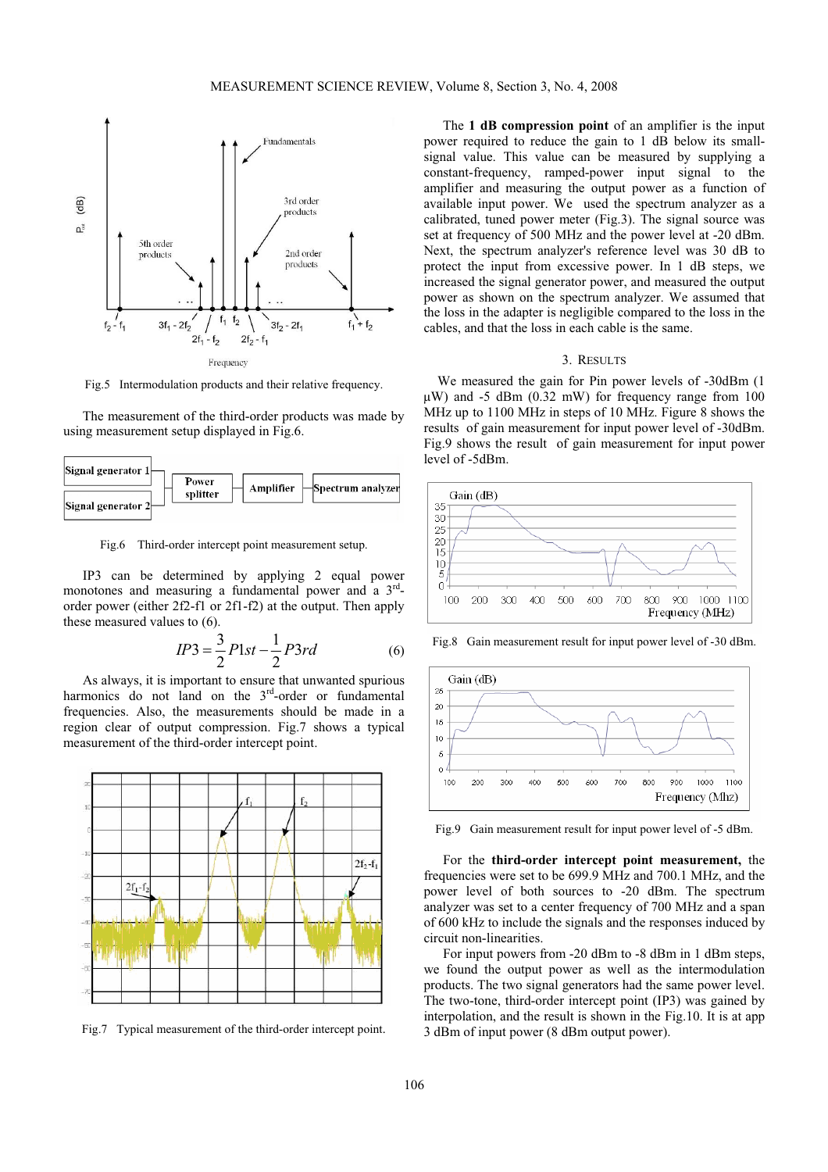

Fig.5 Intermodulation products and their relative frequency.

The measurement of the third-order products was made by using measurement setup displayed in Fig.6.



Fig.6 Third-order intercept point measurement setup.

IP3 can be determined by applying 2 equal power monotones and measuring a fundamental power and a  $3<sup>rd</sup>$ order power (either 2f2-f1 or 2f1-f2) at the output. Then apply these measured values to (6).

$$
IP3 = \frac{3}{2}Plst - \frac{1}{2}P3rd
$$
 (6)

As always, it is important to ensure that unwanted spurious harmonics do not land on the 3<sup>rd</sup>-order or fundamental frequencies. Also, the measurements should be made in a region clear of output compression. Fig.7 shows a typical measurement of the third-order intercept point.



Fig.7 Typical measurement of the third-order intercept point.

The **1 dB compression point** of an amplifier is the input power required to reduce the gain to 1 dB below its smallsignal value. This value can be measured by supplying a constant-frequency, ramped-power input signal to the amplifier and measuring the output power as a function of available input power. We used the spectrum analyzer as a calibrated, tuned power meter (Fig.3). The signal source was set at frequency of 500 MHz and the power level at -20 dBm. Next, the spectrum analyzer's reference level was 30 dB to protect the input from excessive power. In 1 dB steps, we increased the signal generator power, and measured the output power as shown on the spectrum analyzer. We assumed that the loss in the adapter is negligible compared to the loss in the cables, and that the loss in each cable is the same.

# 3. RESULTS

We measured the gain for Pin power levels of -30dBm (1  $\mu$ W) and -5 dBm (0.32 mW) for frequency range from 100 MHz up to 1100 MHz in steps of 10 MHz. Figure 8 shows the results of gain measurement for input power level of -30dBm. Fig.9 shows the result of gain measurement for input power level of -5dBm.



Fig.8 Gain measurement result for input power level of -30 dBm.



Fig.9 Gain measurement result for input power level of -5 dBm.

For the **third-order intercept point measurement,** the frequencies were set to be 699.9 MHz and 700.1 MHz, and the power level of both sources to -20 dBm. The spectrum analyzer was set to a center frequency of 700 MHz and a span of 600 kHz to include the signals and the responses induced by circuit non-linearities.

For input powers from -20 dBm to -8 dBm in 1 dBm steps, we found the output power as well as the intermodulation products. The two signal generators had the same power level. The two-tone, third-order intercept point (IP3) was gained by interpolation, and the result is shown in the Fig.10. It is at app 3 dBm of input power (8 dBm output power).